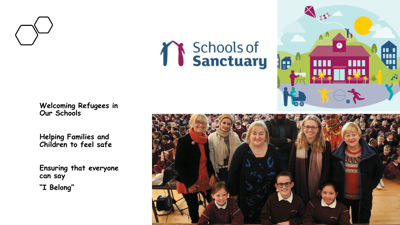

# *T* Schools of



**Welcoming Refugees in Our Schools**

**Helping Families and Children to feel safe** 

**Ensuring that everyone can say "I Belong"**

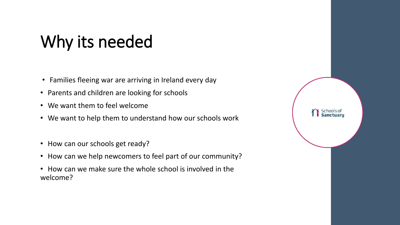### Why its needed

- Families fleeing war are arriving in Ireland every day
- Parents and children are looking for schools
- We want them to feel welcome
- We want to help them to understand how our schools work
- How can our schools get ready?
- How can we help newcomers to feel part of our community?
- How can we make sure the whole school is involved in the welcome?

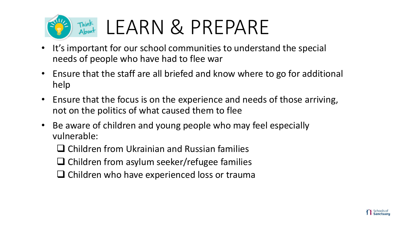

### Think LEARN & PREPARE

- It's important for our school communities to understand the special needs of people who have had to flee war
- Ensure that the staff are all briefed and know where to go for additional help
- Ensure that the focus is on the experience and needs of those arriving, not on the politics of what caused them to flee
- Be aware of children and young people who may feel especially vulnerable:
	- $\Box$  Children from Ukrainian and Russian families
	- $\Box$  Children from asylum seeker/refugee families
	- $\Box$  Children who have experienced loss or trauma

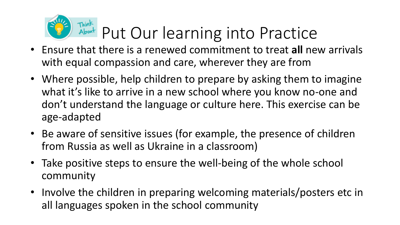

- Ensure that there is a renewed commitment to treat **all** new arrivals with equal compassion and care, wherever they are from
- Where possible, help children to prepare by asking them to imagine what it's like to arrive in a new school where you know no-one and don't understand the language or culture here. This exercise can be age-adapted
- Be aware of sensitive issues (for example, the presence of children from Russia as well as Ukraine in a classroom)
- Take positive steps to ensure the well-being of the whole school community
- Involve the children in preparing welcoming materials/posters etc in all languages spoken in the school community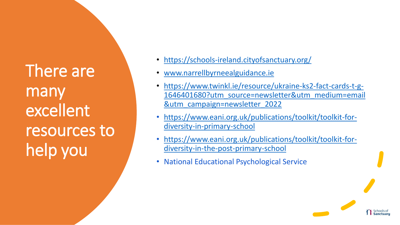There are many excellent resources to help you

- <https://schools-ireland.cityofsanctuary.org/>
- [www.narrellbyrneealguidance.ie](http://www.narrellbyrneealguidance.ie/)
- https://www.twinkl.ie/resource/ukraine-ks2-fact-cards-t-g-[1646401680?utm\\_source=newsletter&utm\\_medium=email](https://www.twinkl.ie/resource/ukraine-ks2-fact-cards-t-g-1646401680?utm_source=newsletter&utm_medium=email&utm_campaign=newsletter_2022) &utm\_campaign=newsletter\_2022
- [https://www.eani.org.uk/publications/toolkit/toolkit-for](https://www.eani.org.uk/publications/toolkit/toolkit-for-diversity-in-primary-school)diversity-in-primary-school
- [https://www.eani.org.uk/publications/toolkit/toolkit-for](https://www.eani.org.uk/publications/toolkit/toolkit-for-diversity-in-the-post-primary-school)diversity-in-the-post-primary-school
- National Educational Psychological Service

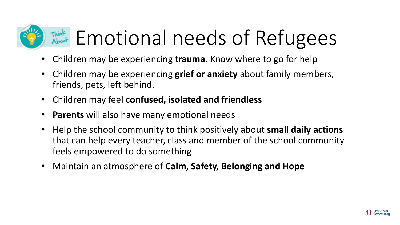## Think Emotional needs of Refugees

- Children may be experiencing **trauma.** Know where to go for help
- Children may be experiencing **grief or anxiety** about family members, friends, pets, left behind.
- Children may feel **confused, isolated and friendless**
- **Parents** will also have many emotional needs
- Help the school community to think positively about **small daily actions**  that can help every teacher, class and member of the school community feels empowered to do something
- Maintain an atmosphere of **Calm, Safety, Belonging and Hope**

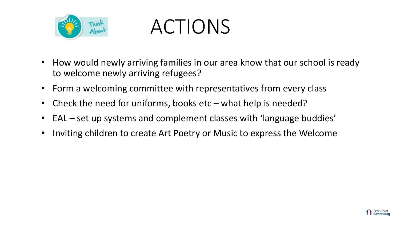

ACTIONS

- How would newly arriving families in our area know that our school is ready to welcome newly arriving refugees?
- Form a welcoming committee with representatives from every class
- Check the need for uniforms, books etc what help is needed?
- EAL set up systems and complement classes with 'language buddies'
- Inviting children to create Art Poetry or Music to express the Welcome

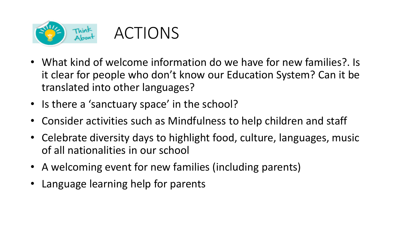



- What kind of welcome information do we have for new families?. Is it clear for people who don't know our Education System? Can it be translated into other languages?
- Is there a 'sanctuary space' in the school?
- Consider activities such as Mindfulness to help children and staff
- Celebrate diversity days to highlight food, culture, languages, music of all nationalities in our school
- A welcoming event for new families (including parents)
- Language learning help for parents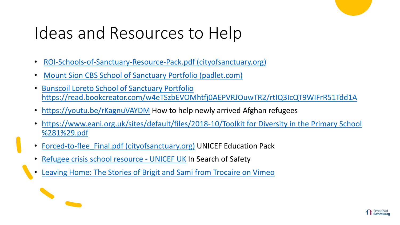### Ideas and Resources to Help

- [ROI-Schools-of-Sanctuary-Resource-Pack.pdf \(cityofsanctuary.org\)](https://schools-ireland.cityofsanctuary.org/wp-content/uploads/sites/168/2020/10/ROI-Schools-of-Sanctuary-Resource-Pack.pdf)
- [Mount Sion CBS School of Sanctuary Portfolio \(padlet.com\)](https://padlet.com/narrellbyrne/mountsioncbsschoolofsanctuaryportfolio)
- Bunscoil Loreto School of Sanctuary Portfolio <https://read.bookcreator.com/w4eTSzbEVOMhtfj0AEPVRJOuwTR2/rtIQ3IcQT9WIFrR51Tdd1A>
- <https://youtu.be/rKagnuVAYDM> How to help newly arrived Afghan refugees
- [https://www.eani.org.uk/sites/default/files/2018-10/Toolkit for Diversity in the Primary School](https://www.eani.org.uk/sites/default/files/2018-10/Toolkit for Diversity in the Primary School (1).pdf)  %281%29.pdf
- Forced-to-flee Final.pdf (cityofsanctuary.org) UNICEF Education Pack
- [Refugee crisis school resource -](https://www.unicef.org.uk/rights-respecting-schools/resources/teaching-resources/guidance-assemblies-lessons/refugee-crisis-europe/) UNICEF UK In Search of Safety
- [Leaving Home: The Stories of Brigit and Sami from Trocaire](https://player.vimeo.com/video/235509432?app_id=122963&autoplay=1) on Vimeo

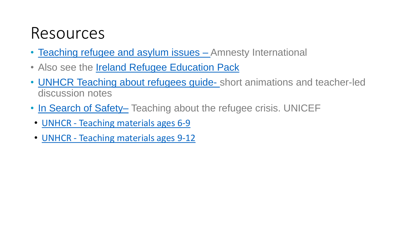### Resources

- Teaching refugee and asylum issues Amnesty International
- Also see the [Ireland Refugee Education Pack](https://www.unhcr.org/en-ie/publications/education/58e663b54/education-pack-for-irish-secondary-schools.html)
- [UNHCR Teaching about refugees guide-](https://www.unhcr.org/pages/4ab346796.html) short animations and teacher-led discussion notes
- [In Search of Safety](https://www.unicef.org.uk/rights-respecting-schools/resources/teaching-resources/guidance-assemblies-lessons/refugee-crisis-europe/) Teaching about the refugee crisis. UNICEF
- UNHCR [Teaching materials ages 6-9](https://www.unhcr.org/uk/teaching-materials-ages-6-9.html)
- UNHCR [Teaching materials ages 9-12](https://www.unhcr.org/uk/teaching-materials-ages-9-12.html)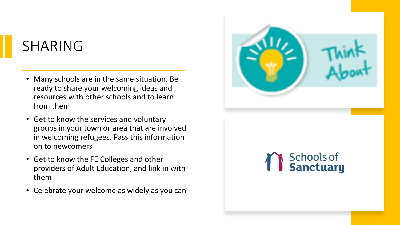#### SHARING

- Many schools are in the same situation. Be ready to share your welcoming ideas and resources with other schools and to learn from them
- Get to know the services and voluntary groups in your town or area that are involved in welcoming refugees. Pass this information on to newcomers
- Get to know the FE Colleges and other providers of Adult Education, and link in with them
- Celebrate your welcome as widely as you can